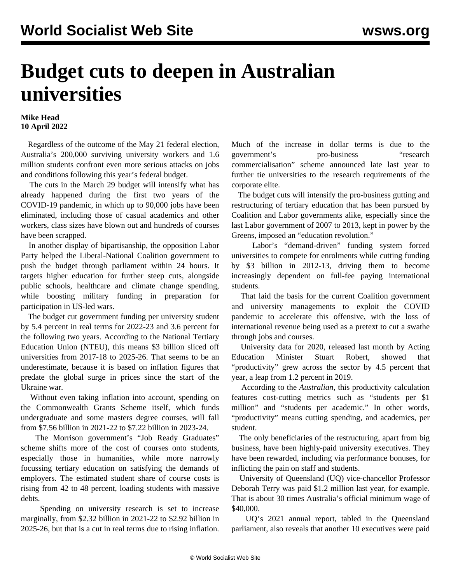## **Budget cuts to deepen in Australian universities**

## **Mike Head 10 April 2022**

 Regardless of the outcome of the May 21 federal election, Australia's 200,000 surviving university workers and 1.6 million students confront even more serious attacks on jobs and conditions following this year's federal budget.

 The cuts in the March 29 budget will intensify what has already happened during the first two years of the COVID-19 pandemic, in which up to 90,000 jobs have been eliminated, including those of casual academics and other workers, class sizes have blown out and hundreds of courses have been scrapped.

 In another display of bipartisanship, the opposition Labor Party helped the Liberal-National Coalition government to push the budget through parliament within 24 hours. It targets higher education for further steep cuts, alongside public schools, healthcare and climate change spending, while boosting military funding in preparation for participation in US-led wars.

 The budget cut government funding per university student by 5.4 percent in real terms for 2022-23 and 3.6 percent for the following two years. According to the National Tertiary Education Union (NTEU), this means \$3 billion sliced off universities from 2017-18 to 2025-26. That seems to be an underestimate, because it is based on inflation figures that predate the global surge in prices since the start of the Ukraine war.

 Without even taking inflation into account, spending on the Commonwealth Grants Scheme itself, which funds undergraduate and some masters degree courses, will fall from \$7.56 billion in 2021-22 to \$7.22 billion in 2023-24.

 The Morrison government's "Job Ready Graduates" scheme shifts more of the cost of courses onto students, especially those in humanities, while more narrowly focussing tertiary education on satisfying the demands of employers. The estimated student share of course costs is rising from 42 to 48 percent, loading students with massive debts.

 Spending on university research is set to increase marginally, from \$2.32 billion in 2021-22 to \$2.92 billion in 2025-26, but that is a cut in real terms due to rising inflation. Much of the increase in dollar terms is due to the government's pro-business "research commercialisation" [scheme](/en/articles/2021/12/17/unis-d17.html) announced late last year to further tie universities to the research requirements of the corporate elite.

 The budget cuts will intensify the pro-business gutting and restructuring of tertiary education that has been pursued by Coalition and Labor governments alike, especially since the last Labor government of 2007 to 2013, kept in power by the Greens, imposed an "education revolution."

 Labor's "demand-driven" funding system forced universities to compete for enrolments while cutting funding by \$3 billion in 2012-13, driving them to become increasingly dependent on full-fee paying international students.

 That laid the basis for the current Coalition government and university managements to exploit the COVID pandemic to accelerate this offensive, with the loss of international revenue being used as a pretext to cut a swathe through jobs and courses.

 University data for 2020, released last month by Acting Education Minister Stuart Robert, showed that "productivity" grew across the sector by 4.5 percent that year, a leap from 1.2 percent in 2019.

 According to the *Australian*, this productivity calculation features cost-cutting metrics such as "students per \$1 million" and "students per academic." In other words, "productivity" means cutting spending, and academics, per student.

 The only beneficiaries of the restructuring, apart from big business, have been highly-paid university executives. They have been rewarded, including via performance bonuses, for inflicting the pain on staff and students.

 University of Queensland (UQ) vice-chancellor Professor Deborah Terry was paid \$1.2 million last year, for example. That is about 30 times Australia's official minimum wage of \$40,000.

 UQ's 2021 annual report, tabled in the Queensland parliament, also reveals that another 10 executives were paid